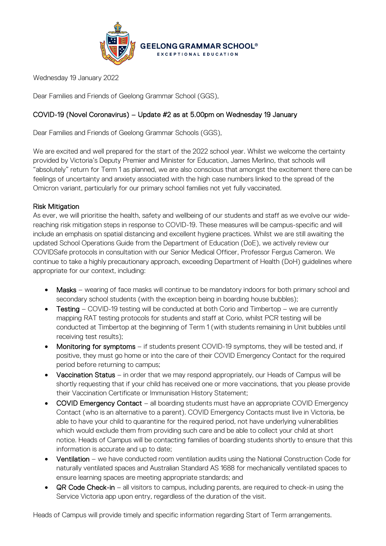

Wednesday 19 January 2022

Dear Families and Friends of Geelong Grammar School (GGS),

## COVID-19 (Novel Coronavirus) – Update #2 as at 5.00pm on Wednesday 19 January

Dear Families and Friends of Geelong Grammar Schools (GGS),

We are excited and well prepared for the start of the 2022 school year. Whilst we welcome the certainty provided by Victoria's Deputy Premier and Minister for Education, James Merlino, that schools will "absolutely" return for Term 1 as planned, we are also conscious that amongst the excitement there can be feelings of uncertainty and anxiety associated with the high case numbers linked to the spread of the Omicron variant, particularly for our primary school families not yet fully vaccinated.

## Risk Mitigation

As ever, we will prioritise the health, safety and wellbeing of our students and staff as we evolve our widereaching risk mitigation steps in response to COVID-19. These measures will be campus-specific and will include an emphasis on spatial distancing and excellent hygiene practices. Whilst we are still awaiting the updated School Operations Guide from the Department of Education (DoE), we actively review our COVIDSafe protocols in consultation with our Senior Medical Officer, Professor Fergus Cameron. We continue to take a highly precautionary approach, exceeding Department of Health (DoH) guidelines where appropriate for our context, including:

- Masks wearing of face masks will continue to be mandatory indoors for both primary school and secondary school students (with the exception being in boarding house bubbles);
- Testing COVID-19 testing will be conducted at both Corio and Timbertop we are currently mapping RAT testing protocols for students and staff at Corio, whilst PCR testing will be conducted at Timbertop at the beginning of Term 1 (with students remaining in Unit bubbles until receiving test results);
- Monitoring for symptoms if students present COVID-19 symptoms, they will be tested and, if positive, they must go home or into the care of their COVID Emergency Contact for the required period before returning to campus;
- Vaccination Status in order that we may respond appropriately, our Heads of Campus will be shortly requesting that if your child has received one or more vaccinations, that you please provide their Vaccination Certificate or Immunisation History Statement;
- COVID Emergency Contact all boarding students must have an appropriate COVID Emergency Contact (who is an alternative to a parent). COVID Emergency Contacts must live in Victoria, be able to have your child to quarantine for the required period, not have underlying vulnerabilities which would exclude them from providing such care and be able to collect your child at short notice. Heads of Campus will be contacting families of boarding students shortly to ensure that this information is accurate and up to date;
- Ventilation we have conducted room ventilation audits using the National Construction Code for naturally ventilated spaces and Australian Standard AS 1688 for mechanically ventilated spaces to ensure learning spaces are meeting appropriate standards; and
- QR Code Check-in all visitors to campus, including parents, are required to check-in using the Service Victoria app upon entry, regardless of the duration of the visit.

Heads of Campus will provide timely and specific information regarding Start of Term arrangements.